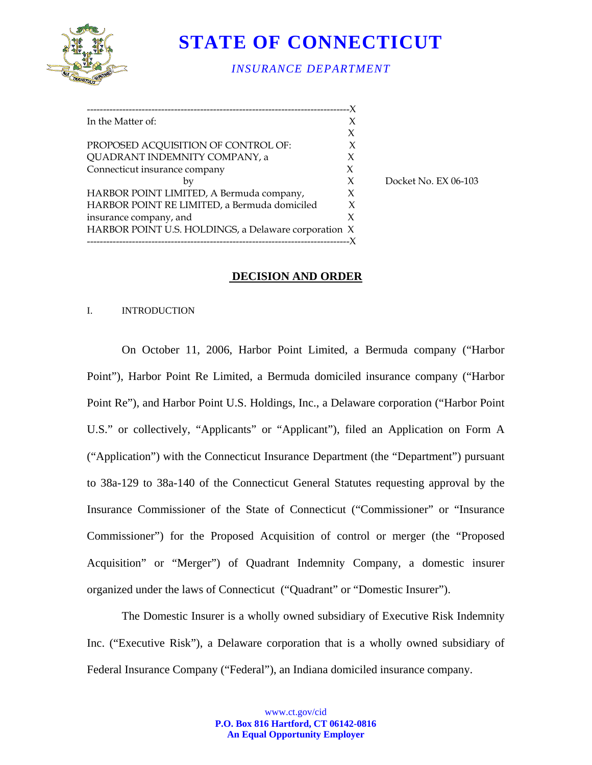

# **STATE OF CONNECTICUT**

# *INSURANCE DEPARTMENT*

| In the Matter of:                                    |   |
|------------------------------------------------------|---|
|                                                      | X |
| PROPOSED ACQUISITION OF CONTROL OF:                  |   |
| QUADRANT INDEMNITY COMPANY, a                        | X |
| Connecticut insurance company                        | X |
| by                                                   | X |
| HARBOR POINT LIMITED, A Bermuda company,             | X |
| HARBOR POINT RE LIMITED, a Bermuda domiciled         | X |
| insurance company, and                               | X |
| HARBOR POINT U.S. HOLDINGS, a Delaware corporation X |   |
|                                                      |   |

Docket No. EX 06-103

## **DECISION AND ORDER**

#### I. INTRODUCTION

On October 11, 2006, Harbor Point Limited, a Bermuda company ("Harbor Point"), Harbor Point Re Limited, a Bermuda domiciled insurance company ("Harbor Point Re"), and Harbor Point U.S. Holdings, Inc., a Delaware corporation ("Harbor Point U.S." or collectively, "Applicants" or "Applicant"), filed an Application on Form A ("Application") with the Connecticut Insurance Department (the "Department") pursuant to 38a-129 to 38a-140 of the Connecticut General Statutes requesting approval by the Insurance Commissioner of the State of Connecticut ("Commissioner" or "Insurance Commissioner") for the Proposed Acquisition of control or merger (the "Proposed Acquisition" or "Merger") of Quadrant Indemnity Company, a domestic insurer organized under the laws of Connecticut ("Quadrant" or "Domestic Insurer").

The Domestic Insurer is a wholly owned subsidiary of Executive Risk Indemnity Inc. ("Executive Risk"), a Delaware corporation that is a wholly owned subsidiary of Federal Insurance Company ("Federal"), an Indiana domiciled insurance company.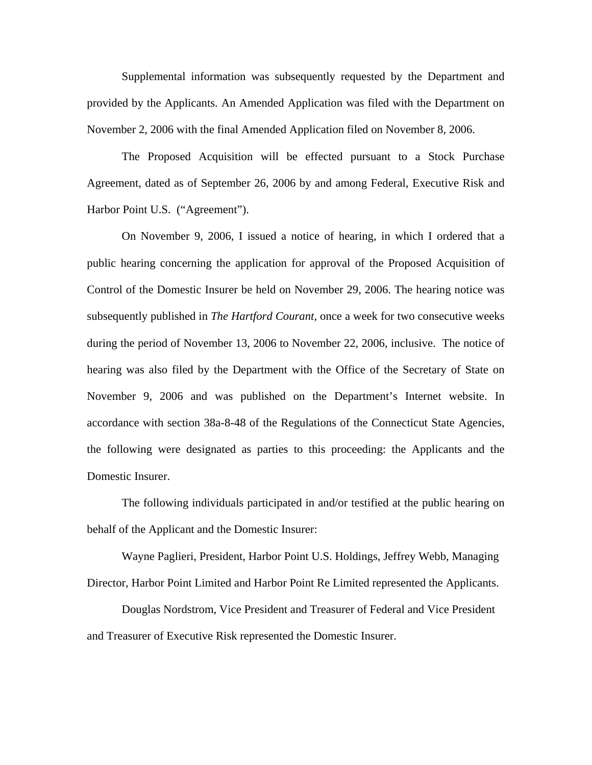Supplemental information was subsequently requested by the Department and provided by the Applicants. An Amended Application was filed with the Department on November 2, 2006 with the final Amended Application filed on November 8, 2006.

The Proposed Acquisition will be effected pursuant to a Stock Purchase Agreement, dated as of September 26, 2006 by and among Federal, Executive Risk and Harbor Point U.S. ("Agreement").

On November 9, 2006, I issued a notice of hearing, in which I ordered that a public hearing concerning the application for approval of the Proposed Acquisition of Control of the Domestic Insurer be held on November 29, 2006. The hearing notice was subsequently published in *The Hartford Courant*, once a week for two consecutive weeks during the period of November 13, 2006 to November 22, 2006, inclusive. The notice of hearing was also filed by the Department with the Office of the Secretary of State on November 9, 2006 and was published on the Department's Internet website. In accordance with section 38a-8-48 of the Regulations of the Connecticut State Agencies, the following were designated as parties to this proceeding: the Applicants and the Domestic Insurer.

The following individuals participated in and/or testified at the public hearing on behalf of the Applicant and the Domestic Insurer:

Wayne Paglieri, President, Harbor Point U.S. Holdings, Jeffrey Webb, Managing Director, Harbor Point Limited and Harbor Point Re Limited represented the Applicants.

Douglas Nordstrom, Vice President and Treasurer of Federal and Vice President and Treasurer of Executive Risk represented the Domestic Insurer.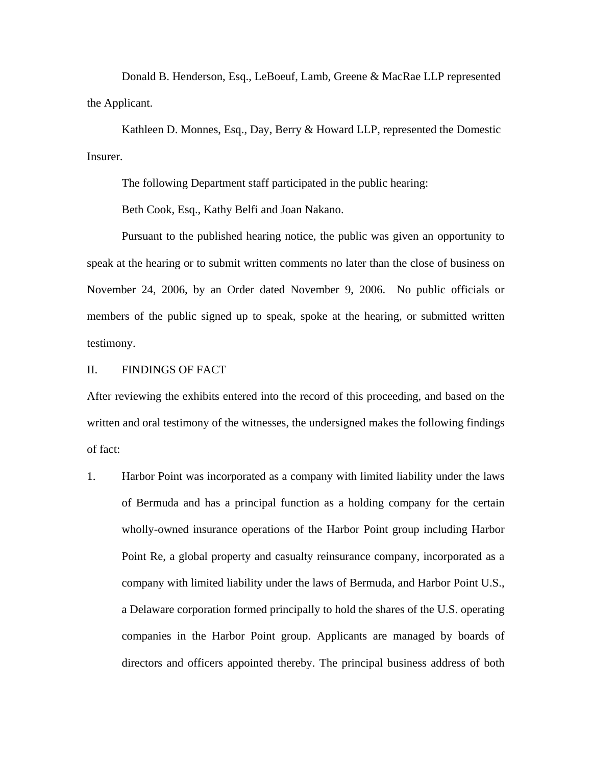Donald B. Henderson, Esq., LeBoeuf, Lamb, Greene & MacRae LLP represented the Applicant.

Kathleen D. Monnes, Esq., Day, Berry & Howard LLP, represented the Domestic Insurer.

The following Department staff participated in the public hearing:

Beth Cook, Esq., Kathy Belfi and Joan Nakano.

Pursuant to the published hearing notice, the public was given an opportunity to speak at the hearing or to submit written comments no later than the close of business on November 24, 2006, by an Order dated November 9, 2006. No public officials or members of the public signed up to speak, spoke at the hearing, or submitted written testimony.

#### II. FINDINGS OF FACT

After reviewing the exhibits entered into the record of this proceeding, and based on the written and oral testimony of the witnesses, the undersigned makes the following findings of fact:

1. Harbor Point was incorporated as a company with limited liability under the laws of Bermuda and has a principal function as a holding company for the certain wholly-owned insurance operations of the Harbor Point group including Harbor Point Re, a global property and casualty reinsurance company, incorporated as a company with limited liability under the laws of Bermuda, and Harbor Point U.S., a Delaware corporation formed principally to hold the shares of the U.S. operating companies in the Harbor Point group. Applicants are managed by boards of directors and officers appointed thereby. The principal business address of both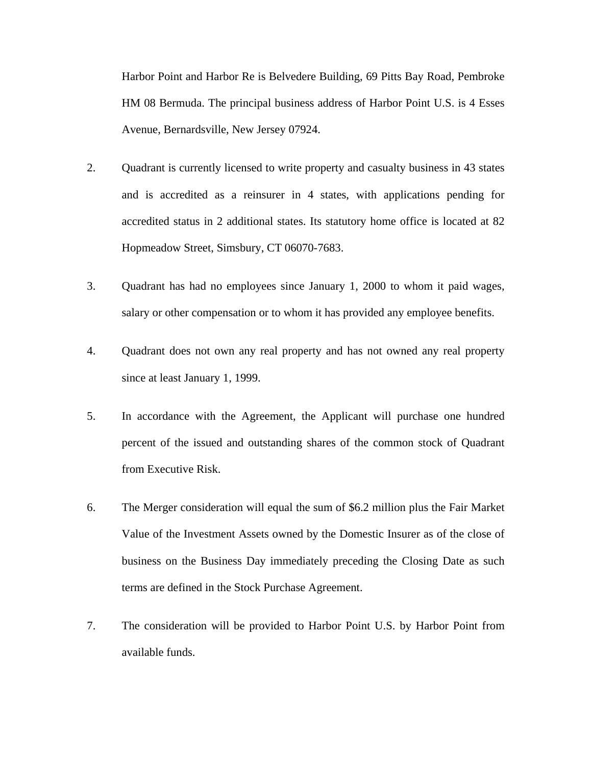Harbor Point and Harbor Re is Belvedere Building, 69 Pitts Bay Road, Pembroke HM 08 Bermuda. The principal business address of Harbor Point U.S. is 4 Esses Avenue, Bernardsville, New Jersey 07924.

- 2. Quadrant is currently licensed to write property and casualty business in 43 states and is accredited as a reinsurer in 4 states, with applications pending for accredited status in 2 additional states. Its statutory home office is located at 82 Hopmeadow Street, Simsbury, CT 06070-7683.
- 3. Quadrant has had no employees since January 1, 2000 to whom it paid wages, salary or other compensation or to whom it has provided any employee benefits.
- 4. Quadrant does not own any real property and has not owned any real property since at least January 1, 1999.
- 5. In accordance with the Agreement, the Applicant will purchase one hundred percent of the issued and outstanding shares of the common stock of Quadrant from Executive Risk.
- 6. The Merger consideration will equal the sum of \$6.2 million plus the Fair Market Value of the Investment Assets owned by the Domestic Insurer as of the close of business on the Business Day immediately preceding the Closing Date as such terms are defined in the Stock Purchase Agreement.
- 7. The consideration will be provided to Harbor Point U.S. by Harbor Point from available funds.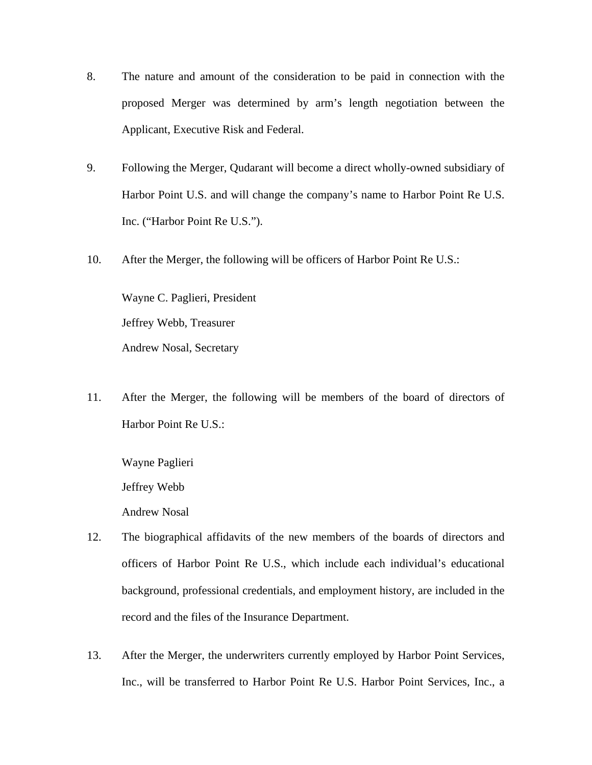- 8. The nature and amount of the consideration to be paid in connection with the proposed Merger was determined by arm's length negotiation between the Applicant, Executive Risk and Federal.
- 9. Following the Merger, Qudarant will become a direct wholly-owned subsidiary of Harbor Point U.S. and will change the company's name to Harbor Point Re U.S. Inc. ("Harbor Point Re U.S.").
- 10. After the Merger, the following will be officers of Harbor Point Re U.S.:

Wayne C. Paglieri, President Jeffrey Webb, Treasurer Andrew Nosal, Secretary

11. After the Merger, the following will be members of the board of directors of Harbor Point Re U.S.:

Wayne Paglieri Jeffrey Webb Andrew Nosal

- 12. The biographical affidavits of the new members of the boards of directors and officers of Harbor Point Re U.S., which include each individual's educational background, professional credentials, and employment history, are included in the record and the files of the Insurance Department.
- 13. After the Merger, the underwriters currently employed by Harbor Point Services, Inc., will be transferred to Harbor Point Re U.S. Harbor Point Services, Inc., a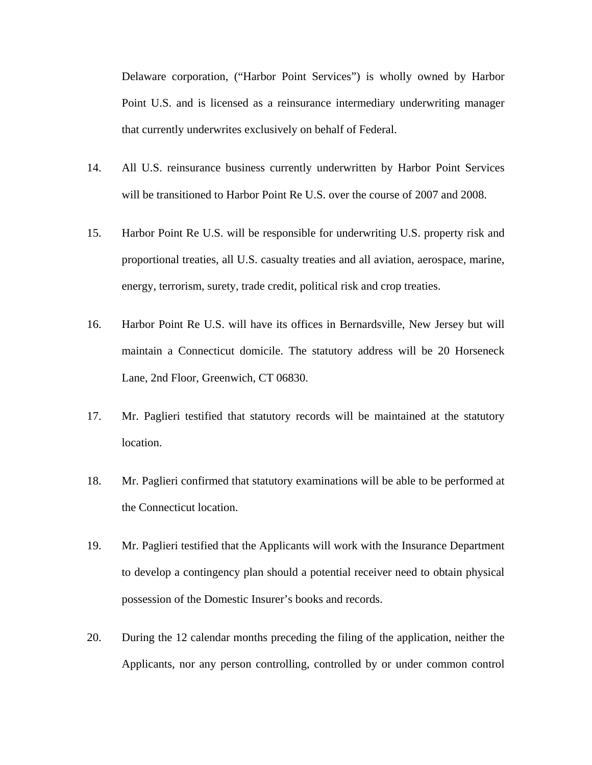Delaware corporation, ("Harbor Point Services") is wholly owned by Harbor Point U.S. and is licensed as a reinsurance intermediary underwriting manager that currently underwrites exclusively on behalf of Federal.

- 14. All U.S. reinsurance business currently underwritten by Harbor Point Services will be transitioned to Harbor Point Re U.S. over the course of 2007 and 2008.
- 15. Harbor Point Re U.S. will be responsible for underwriting U.S. property risk and proportional treaties, all U.S. casualty treaties and all aviation, aerospace, marine, energy, terrorism, surety, trade credit, political risk and crop treaties.
- 16. Harbor Point Re U.S. will have its offices in Bernardsville, New Jersey but will maintain a Connecticut domicile. The statutory address will be 20 Horseneck Lane, 2nd Floor, Greenwich, CT 06830.
- 17. Mr. Paglieri testified that statutory records will be maintained at the statutory location.
- 18. Mr. Paglieri confirmed that statutory examinations will be able to be performed at the Connecticut location.
- 19. Mr. Paglieri testified that the Applicants will work with the Insurance Department to develop a contingency plan should a potential receiver need to obtain physical possession of the Domestic Insurer's books and records.
- 20. During the 12 calendar months preceding the filing of the application, neither the Applicants, nor any person controlling, controlled by or under common control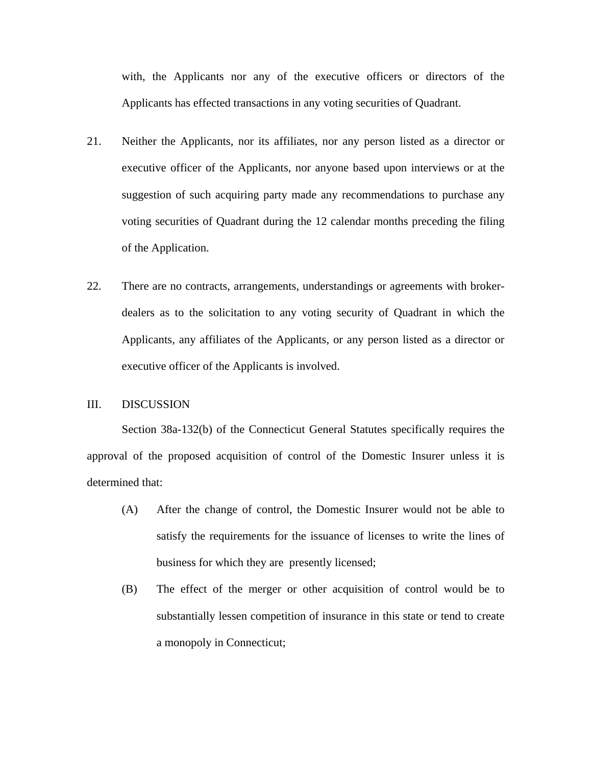with, the Applicants nor any of the executive officers or directors of the Applicants has effected transactions in any voting securities of Quadrant.

- 21. Neither the Applicants, nor its affiliates, nor any person listed as a director or executive officer of the Applicants, nor anyone based upon interviews or at the suggestion of such acquiring party made any recommendations to purchase any voting securities of Quadrant during the 12 calendar months preceding the filing of the Application.
- 22. There are no contracts, arrangements, understandings or agreements with brokerdealers as to the solicitation to any voting security of Quadrant in which the Applicants, any affiliates of the Applicants, or any person listed as a director or executive officer of the Applicants is involved.

## III. DISCUSSION

Section 38a-132(b) of the Connecticut General Statutes specifically requires the approval of the proposed acquisition of control of the Domestic Insurer unless it is determined that:

- (A) After the change of control, the Domestic Insurer would not be able to satisfy the requirements for the issuance of licenses to write the lines of business for which they are presently licensed;
- (B) The effect of the merger or other acquisition of control would be to substantially lessen competition of insurance in this state or tend to create a monopoly in Connecticut;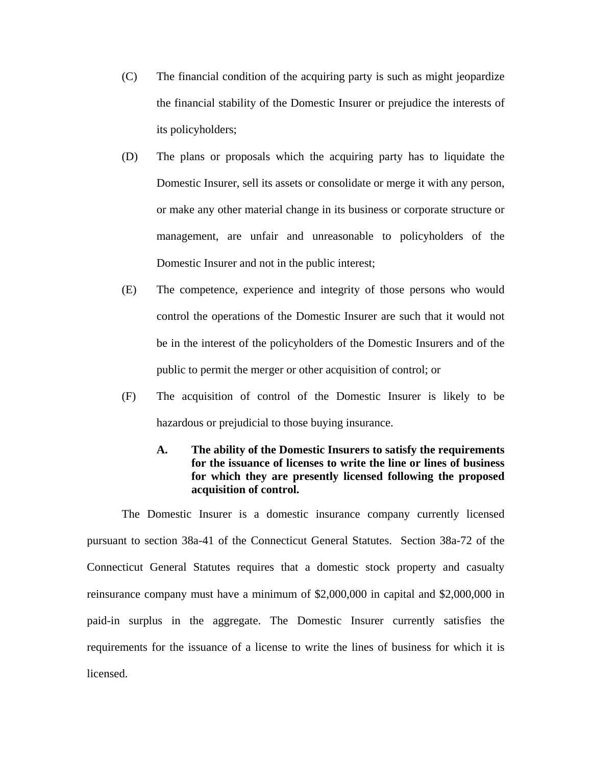- (C) The financial condition of the acquiring party is such as might jeopardize the financial stability of the Domestic Insurer or prejudice the interests of its policyholders;
- (D) The plans or proposals which the acquiring party has to liquidate the Domestic Insurer, sell its assets or consolidate or merge it with any person, or make any other material change in its business or corporate structure or management, are unfair and unreasonable to policyholders of the Domestic Insurer and not in the public interest;
- (E) The competence, experience and integrity of those persons who would control the operations of the Domestic Insurer are such that it would not be in the interest of the policyholders of the Domestic Insurers and of the public to permit the merger or other acquisition of control; or
- (F) The acquisition of control of the Domestic Insurer is likely to be hazardous or prejudicial to those buying insurance.

# **A. The ability of the Domestic Insurers to satisfy the requirements for the issuance of licenses to write the line or lines of business for which they are presently licensed following the proposed acquisition of control.**

The Domestic Insurer is a domestic insurance company currently licensed pursuant to section 38a-41 of the Connecticut General Statutes. Section 38a-72 of the Connecticut General Statutes requires that a domestic stock property and casualty reinsurance company must have a minimum of \$2,000,000 in capital and \$2,000,000 in paid-in surplus in the aggregate. The Domestic Insurer currently satisfies the requirements for the issuance of a license to write the lines of business for which it is licensed.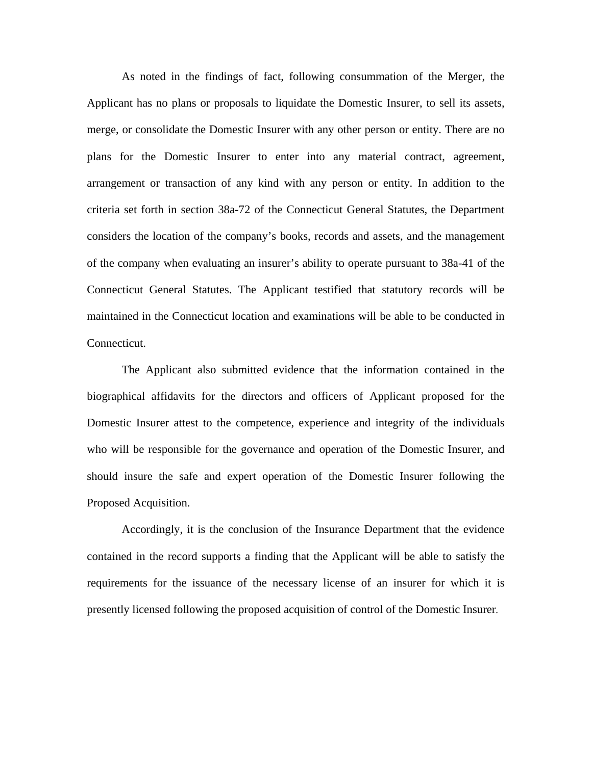As noted in the findings of fact, following consummation of the Merger, the Applicant has no plans or proposals to liquidate the Domestic Insurer, to sell its assets, merge, or consolidate the Domestic Insurer with any other person or entity. There are no plans for the Domestic Insurer to enter into any material contract, agreement, arrangement or transaction of any kind with any person or entity. In addition to the criteria set forth in section 38a-72 of the Connecticut General Statutes, the Department considers the location of the company's books, records and assets, and the management of the company when evaluating an insurer's ability to operate pursuant to 38a-41 of the Connecticut General Statutes. The Applicant testified that statutory records will be maintained in the Connecticut location and examinations will be able to be conducted in Connecticut.

The Applicant also submitted evidence that the information contained in the biographical affidavits for the directors and officers of Applicant proposed for the Domestic Insurer attest to the competence, experience and integrity of the individuals who will be responsible for the governance and operation of the Domestic Insurer, and should insure the safe and expert operation of the Domestic Insurer following the Proposed Acquisition.

Accordingly, it is the conclusion of the Insurance Department that the evidence contained in the record supports a finding that the Applicant will be able to satisfy the requirements for the issuance of the necessary license of an insurer for which it is presently licensed following the proposed acquisition of control of the Domestic Insurer.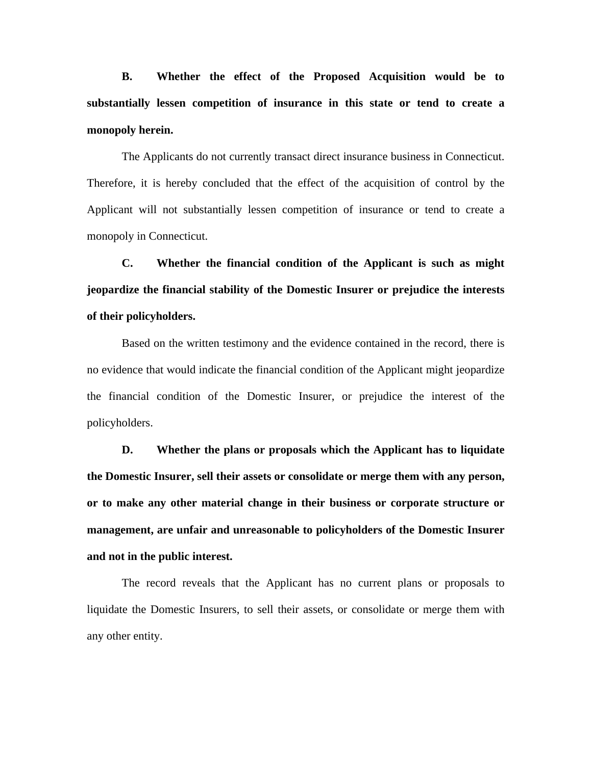**B. Whether the effect of the Proposed Acquisition would be to substantially lessen competition of insurance in this state or tend to create a monopoly herein.**

The Applicants do not currently transact direct insurance business in Connecticut. Therefore, it is hereby concluded that the effect of the acquisition of control by the Applicant will not substantially lessen competition of insurance or tend to create a monopoly in Connecticut.

**C. Whether the financial condition of the Applicant is such as might jeopardize the financial stability of the Domestic Insurer or prejudice the interests of their policyholders.**

 Based on the written testimony and the evidence contained in the record, there is no evidence that would indicate the financial condition of the Applicant might jeopardize the financial condition of the Domestic Insurer, or prejudice the interest of the policyholders.

**D. Whether the plans or proposals which the Applicant has to liquidate the Domestic Insurer, sell their assets or consolidate or merge them with any person, or to make any other material change in their business or corporate structure or management, are unfair and unreasonable to policyholders of the Domestic Insurer and not in the public interest.**

The record reveals that the Applicant has no current plans or proposals to liquidate the Domestic Insurers, to sell their assets, or consolidate or merge them with any other entity.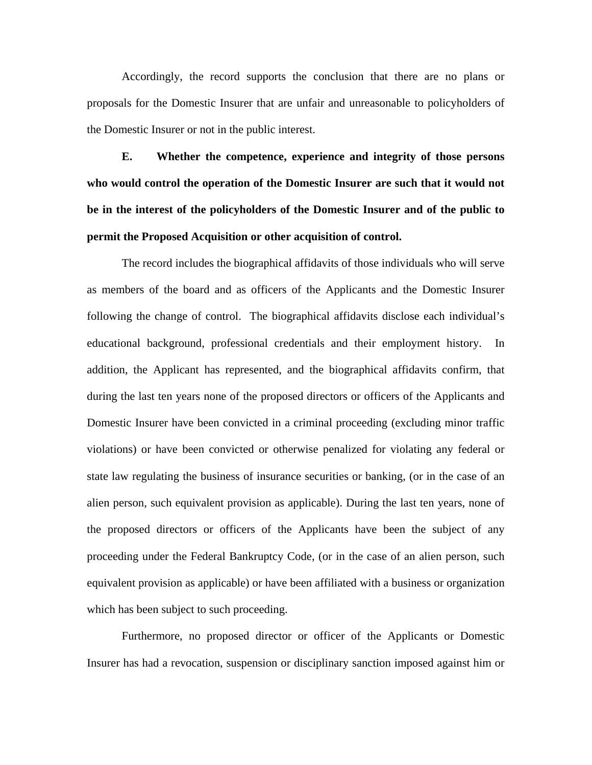Accordingly, the record supports the conclusion that there are no plans or proposals for the Domestic Insurer that are unfair and unreasonable to policyholders of the Domestic Insurer or not in the public interest.

**E. Whether the competence, experience and integrity of those persons who would control the operation of the Domestic Insurer are such that it would not be in the interest of the policyholders of the Domestic Insurer and of the public to permit the Proposed Acquisition or other acquisition of control.**

The record includes the biographical affidavits of those individuals who will serve as members of the board and as officers of the Applicants and the Domestic Insurer following the change of control. The biographical affidavits disclose each individual's educational background, professional credentials and their employment history. In addition, the Applicant has represented, and the biographical affidavits confirm, that during the last ten years none of the proposed directors or officers of the Applicants and Domestic Insurer have been convicted in a criminal proceeding (excluding minor traffic violations) or have been convicted or otherwise penalized for violating any federal or state law regulating the business of insurance securities or banking, (or in the case of an alien person, such equivalent provision as applicable). During the last ten years, none of the proposed directors or officers of the Applicants have been the subject of any proceeding under the Federal Bankruptcy Code, (or in the case of an alien person, such equivalent provision as applicable) or have been affiliated with a business or organization which has been subject to such proceeding.

Furthermore, no proposed director or officer of the Applicants or Domestic Insurer has had a revocation, suspension or disciplinary sanction imposed against him or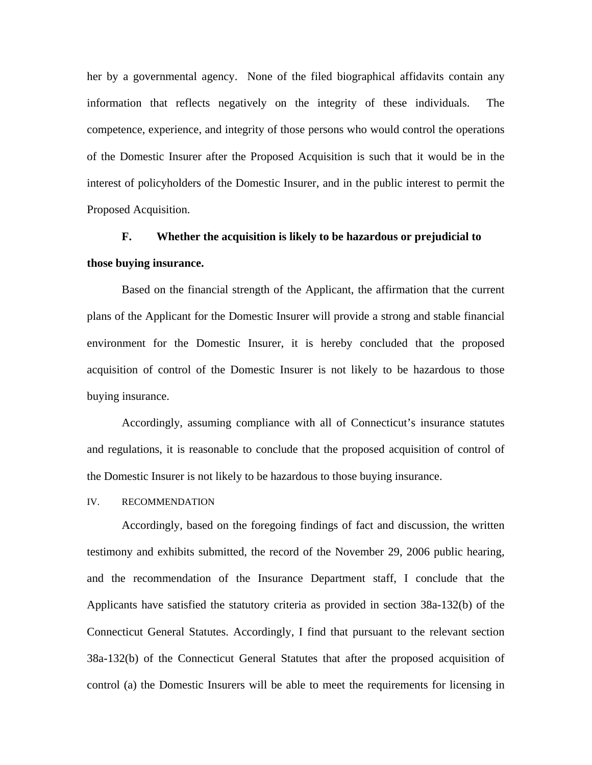her by a governmental agency. None of the filed biographical affidavits contain any information that reflects negatively on the integrity of these individuals. The competence, experience, and integrity of those persons who would control the operations of the Domestic Insurer after the Proposed Acquisition is such that it would be in the interest of policyholders of the Domestic Insurer, and in the public interest to permit the Proposed Acquisition.

# **F. Whether the acquisition is likely to be hazardous or prejudicial to those buying insurance.**

Based on the financial strength of the Applicant, the affirmation that the current plans of the Applicant for the Domestic Insurer will provide a strong and stable financial environment for the Domestic Insurer, it is hereby concluded that the proposed acquisition of control of the Domestic Insurer is not likely to be hazardous to those buying insurance.

Accordingly, assuming compliance with all of Connecticut's insurance statutes and regulations, it is reasonable to conclude that the proposed acquisition of control of the Domestic Insurer is not likely to be hazardous to those buying insurance.

#### IV. RECOMMENDATION

Accordingly, based on the foregoing findings of fact and discussion, the written testimony and exhibits submitted, the record of the November 29, 2006 public hearing, and the recommendation of the Insurance Department staff, I conclude that the Applicants have satisfied the statutory criteria as provided in section 38a-132(b) of the Connecticut General Statutes. Accordingly, I find that pursuant to the relevant section 38a-132(b) of the Connecticut General Statutes that after the proposed acquisition of control (a) the Domestic Insurers will be able to meet the requirements for licensing in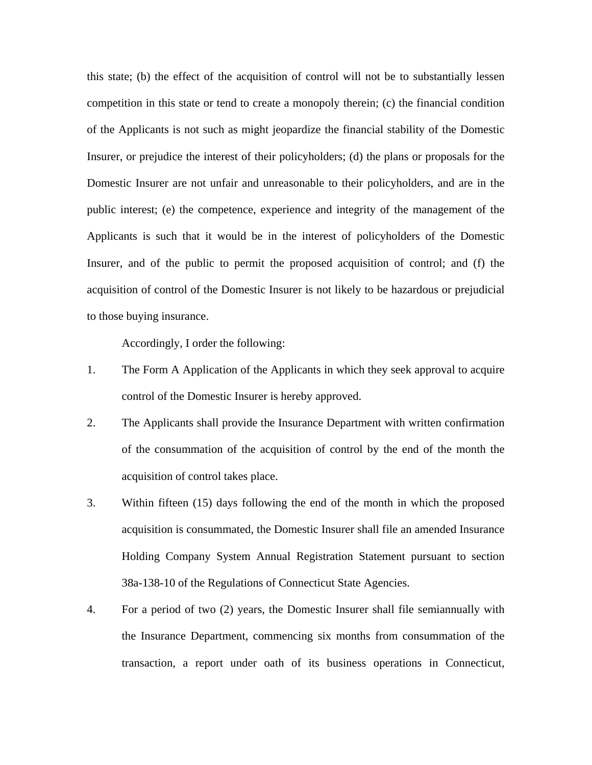this state; (b) the effect of the acquisition of control will not be to substantially lessen competition in this state or tend to create a monopoly therein; (c) the financial condition of the Applicants is not such as might jeopardize the financial stability of the Domestic Insurer, or prejudice the interest of their policyholders; (d) the plans or proposals for the Domestic Insurer are not unfair and unreasonable to their policyholders, and are in the public interest; (e) the competence, experience and integrity of the management of the Applicants is such that it would be in the interest of policyholders of the Domestic Insurer, and of the public to permit the proposed acquisition of control; and (f) the acquisition of control of the Domestic Insurer is not likely to be hazardous or prejudicial to those buying insurance.

Accordingly, I order the following:

- 1. The Form A Application of the Applicants in which they seek approval to acquire control of the Domestic Insurer is hereby approved.
- 2. The Applicants shall provide the Insurance Department with written confirmation of the consummation of the acquisition of control by the end of the month the acquisition of control takes place.
- 3. Within fifteen (15) days following the end of the month in which the proposed acquisition is consummated, the Domestic Insurer shall file an amended Insurance Holding Company System Annual Registration Statement pursuant to section 38a-138-10 of the Regulations of Connecticut State Agencies.
- 4. For a period of two (2) years, the Domestic Insurer shall file semiannually with the Insurance Department, commencing six months from consummation of the transaction, a report under oath of its business operations in Connecticut,